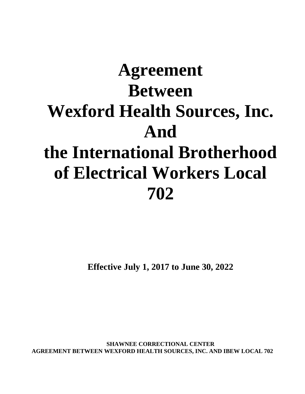# **Agreement Between Wexford Health Sources, Inc. And the International Brotherhood of Electrical Workers Local 702**

**Effective July 1, 2017 to June 30, 2022**

**SHAWNEE CORRECTIONAL CENTER AGREEMENT BETWEEN WEXFORD HEALTH SOURCES, INC. AND IBEW LOCAL 702**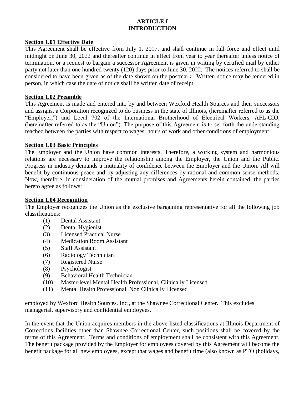# **ARTICLE I INTRODUCTION**

#### **Section 1.01 Effective Date**

This Agreement shall be effective from July 1, 2017, and shall continue in full force and effect until midnight on June 30, 2022 and thereafter continue in effect from year to year thereafter unless notice of termination, or a request to bargain a successor Agreement is given in writing by certified mail by either party not later than one hundred twenty (120) days prior to June 30, 2022. The notices referred to shall be considered to have been given as of the date shown on the postmark. Written notice may be tendered in person, in which case the date of notice shall be written date of receipt.

#### **Section 1.02 Preamble**

This Agreement is made and entered into by and between Wexford Health Sources and their successors and assigns, a Corporation recognized to do business in the state of Illinois, (hereinafter referred to as the "Employer,") and Local 702 of the International Brotherhood of Electrical Workers, AFL-CIO, (hereinafter referred to as the "Union"). The purpose of this Agreement is to set forth the understanding reached between the parties with respect to wages, hours of work and other conditions of employment

#### **Section 1.03 Basic Principles**

The Employer and the Union have common interests. Therefore, a working system and harmonious relations are necessary to improve the relationship among the Employer, the Union and the Public. Progress in industry demands a mutuality of confidence between the Employer and the Union. All will benefit by continuous peace and by adjusting any differences by rational and common sense methods. Now, therefore, in consideration of the mutual promises and Agreements herein contained, the parties hereto agree as follows:

#### **Section 1.04 Recognition**

The Employer recognizes the Union as the exclusive bargaining representative for all the following job classifications:

- (1) Dental Assistant
- (2) Dental Hygienist
- (3) Licensed Practical Nurse
- (4) Medication Room Assistant
- (5) Staff Assistant
- (6) Radiology Technician
- (7) Registered Nurse
- (8) Psychologist
- (9) Behavioral Health Technician
- (10) Master-level Mental Health Professional, Clinically Licensed
- (11) Mental Health Professional, Non Clinically Licensed

employed by Wexford Health Sources. Inc., at the Shawnee Correctional Center. This excludes managerial, supervisory and confidential employees.

In the event that the Union acquires members in the above-listed classifications at Illinois Department of Corrections facilities other than Shawnee Correctional Center, such positions shall be covered by the terms of this Agreement. Terms and conditions of employment shall be consistent with this Agreement. The benefit package provided by the Employer for employees covered by this Agreement will become the benefit package for all new employees, except that wages and benefit time (also known as PTO (holidays,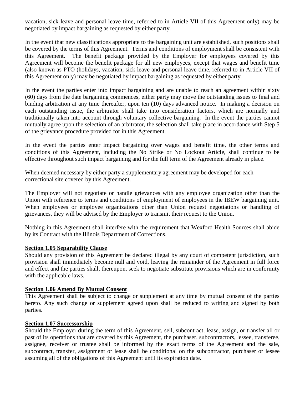vacation, sick leave and personal leave time, referred to in Article VII of this Agreement only) may be negotiated by impact bargaining as requested by either party.

In the event that new classifications appropriate to the bargaining unit are established, such positions shall be covered by the terms of this Agreement. Terms and conditions of employment shall be consistent with this Agreement. The benefit package provided by the Employer for employees covered by this Agreement will become the benefit package for all new employees, except that wages and benefit time (also known as PTO (holidays, vacation, sick leave and personal leave time, referred to in Article VII of this Agreement only) may be negotiated by impact bargaining as requested by either party.

In the event the parties enter into impact bargaining and are unable to reach an agreement within sixty (60) days from the date bargaining commences, either party may move the outstanding issues to final and binding arbitration at any time thereafter, upon ten (10) days advanced notice. In making a decision on each outstanding issue, the arbitrator shall take into consideration factors, which are normally and traditionally taken into account through voluntary collective bargaining. In the event the parties cannot mutually agree upon the selection of an arbitrator, the selection shall take place in accordance with Step 5 of the grievance procedure provided for in this Agreement.

In the event the parties enter impact bargaining over wages and benefit time, the other terms and conditions of this Agreement, including the No Strike or No Lockout Article, shall continue to be effective throughout such impact bargaining and for the full term of the Agreement already in place.

When deemed necessary by either party a supplementary agreement may be developed for each correctional site covered by this Agreement.

The Employer will not negotiate or handle grievances with any employee organization other than the Union with reference to terms and conditions of employment of employees in the IBEW bargaining unit. When employees or employee organizations other than Union request negotiations or handling of grievances, they will be advised by the Employer to transmit their request to the Union.

Nothing in this Agreement shall interfere with the requirement that Wexford Health Sources shall abide by its Contract with the Illinois Department of Corrections.

#### **Section 1.05 Separability Clause**

Should any provision of this Agreement be declared illegal by any court of competent jurisdiction, such provision shall immediately become null and void, leaving the remainder of the Agreement in full force and effect and the parties shall, thereupon, seek to negotiate substitute provisions which are in conformity with the applicable laws.

#### **Section 1.06 Amend By Mutual Consent**

This Agreement shall be subject to change or supplement at any time by mutual consent of the parties hereto. Any such change or supplement agreed upon shall be reduced to writing and signed by both parties.

#### **Section 1.07 Successorship**

Should the Employer during the term of this Agreement, sell, subcontract, lease, assign, or transfer all or past of its operations that are covered by this Agreement, the purchaser, subcontractors, lessee, transferee, assignee, receiver or trustee shall be informed by the exact terms of the Agreement and the sale, subcontract, transfer, assignment or lease shall be conditional on the subcontractor, purchaser or lessee assuming all of the obligations of this Agreement until its expiration date.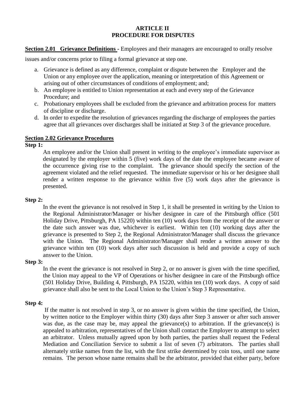#### **ARTICLE II PROCEDURE FOR DISPUTES**

**Section 2.01 Grievance Definitions** - Employees and their managers are encouraged to orally resolve

issues and/or concerns prior to filing a formal grievance at step one.

- a. Grievance is defined as any difference, complaint or dispute between the Employer and the Union or any employee over the application, meaning or interpretation of this Agreement or arising out of other circumstances of conditions of employment; and;
- b. An employee is entitled to Union representation at each and every step of the Grievance Procedure; and
- c. Probationary employees shall be excluded from the grievance and arbitration process for matters of discipline or discharge.
- d. In order to expedite the resolution of grievances regarding the discharge of employees the parties agree that all grievances over discharges shall be initiated at Step 3 of the grievance procedure.

#### **Section 2.02 Grievance Procedures**

# **Step 1:**

An employee and/or the Union shall present in writing to the employee's immediate supervisor as designated by the employer within 5 (five) work days of the date the employee became aware of the occurrence giving rise to the complaint. The grievance should specify the section of the agreement violated and the relief requested. The immediate supervisor or his or her designee shall render a written response to the grievance within five (5) work days after the grievance is presented.

#### **Step 2:**

In the event the grievance is not resolved in Step 1, it shall be presented in writing by the Union to the Regional Administrator/Manager or his/her designee in care of the Pittsburgh office (501 Holiday Drive, Pittsburgh, PA 15220) within ten (10) work days from the receipt of the answer or the date such answer was due, whichever is earliest. Within ten (10) working days after the grievance is presented to Step 2, the Regional Administrator/Manager shall discuss the grievance with the Union. The Regional Administrator/Manager shall render a written answer to the grievance within ten (10) work days after such discussion is held and provide a copy of such answer to the Union.

#### **Step 3:**

In the event the grievance is not resolved in Step 2, or no answer is given with the time specified, the Union may appeal to the VP of Operations or his/her designee in care of the Pittsburgh office (501 Holiday Drive, Building 4, Pittsburgh, PA 15220, within ten (10) work days. A copy of said grievance shall also be sent to the Local Union to the Union's Step 3 Representative.

#### **Step 4:**

If the matter is not resolved in step 3, or no answer is given within the time specified, the Union, by written notice to the Employer within thirty (30) days after Step 3 answer or after such answer was due, as the case may be, may appeal the grievance(s) to arbitration. If the grievance(s) is appealed to arbitration, representatives of the Union shall contact the Employer to attempt to select an arbitrator. Unless mutually agreed upon by both parties, the parties shall request the Federal Mediation and Conciliation Service to submit a list of seven (7) arbitrators. The parties shall alternately strike names from the list, with the first strike determined by coin toss, until one name remains. The person whose name remains shall be the arbitrator, provided that either party, before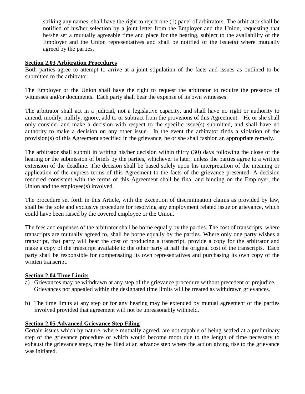striking any names, shall have the right to reject one (1) panel of arbitrators. The arbitrator shall be notified of his/her selection by a joint letter from the Employer and the Union, requesting that he/she set a mutually agreeable time and place for the hearing, subject to the availability of the Employer and the Union representatives and shall be notified of the issue(s) where mutually agreed by the parties.

#### **Section 2.03 Arbitration Procedures**

Both parties agree to attempt to arrive at a joint stipulation of the facts and issues as outlined to be submitted to the arbitrator.

The Employer or the Union shall have the right to request the arbitrator to require the presence of witnesses and/or documents. Each party shall bear the expense of its own witnesses.

The arbitrator shall act in a judicial, not a legislative capacity, and shall have no right or authority to amend, modify, nullify, ignore, add to or subtract from the provisions of this Agreement. He or she shall only consider and make a decision with respect to the specific issue(s) submitted, and shall have no authority to make a decision on any other issue. In the event the arbitrator finds a violation of the provision(s) of this Agreement specified in the grievance, he or she shall fashion an appropriate remedy.

The arbitrator shall submit in writing his/her decision within thirty (30) days following the close of the hearing or the submission of briefs by the parties, whichever is later, unless the parties agree to a written extension of the deadline. The decision shall be based solely upon his interpretation of the meaning or application of the express terms of this Agreement to the facts of the grievance presented. A decision rendered consistent with the terms of this Agreement shall be final and binding on the Employer, the Union and the employee(s) involved.

The procedure set forth in this Article, with the exception of discrimination claims as provided by law, shall be the sole and exclusive procedure for resolving any employment related issue or grievance, which could have been raised by the covered employee or the Union.

The fees and expenses of the arbitrator shall be borne equally by the parties. The cost of transcripts, where transcripts are mutually agreed to, shall be borne equally by the parties. Where only one party wishes a transcript, that party will bear the cost of producing a transcript, provide a copy for the arbitrator and make a copy of the transcript available to the other party at half the original cost of the transcripts. Each party shall be responsible for compensating its own representatives and purchasing its own copy of the written transcript.

#### **Section 2.04 Time Limits**

- a) Grievances may be withdrawn at any step of the grievance procedure without precedent or prejudice. Grievances not appealed within the designated time limits will be treated as withdrawn grievances.
- b) The time limits at any step or for any hearing may be extended by mutual agreement of the parties involved provided that agreement will not be unreasonably withheld.

#### **Section 2.05 Advanced Grievance Step Filing**

Certain issues which by nature, where mutually agreed, are not capable of being settled at a preliminary step of the grievance procedure or which would become moot due to the length of time necessary to exhaust the grievance steps, may be filed at an advance step where the action giving rise to the grievance was initiated.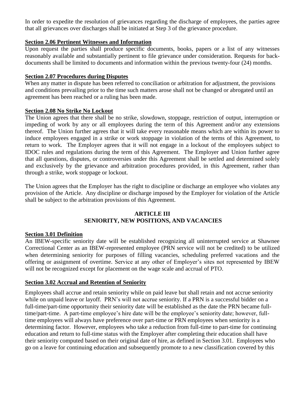In order to expedite the resolution of grievances regarding the discharge of employees, the parties agree that all grievances over discharges shall be initiated at Step 3 of the grievance procedure.

# **Section 2.06 Pertinent Witnesses and Information**

Upon request the parties shall produce specific documents, books, papers or a list of any witnesses reasonably available and substantially pertinent to file grievance under consideration. Requests for backdocuments shall be limited to documents and information within the previous twenty-four (24) months.

# **Section 2.07 Procedures during Disputes**

When any matter in dispute has been referred to conciliation or arbitration for adjustment, the provisions and conditions prevailing prior to the time such matters arose shall not be changed or abrogated until an agreement has been reached or a ruling has been made.

# **Section 2.08 No Strike No Lockout**

The Union agrees that there shall be no strike, slowdown, stoppage, restriction of output, interruption or impeding of work by any or all employees during the term of this Agreement and/or any extensions thereof. The Union further agrees that it will take every reasonable means which are within its power to induce employees engaged in a strike or work stoppage in violation of the terms of this Agreement, to return to work. The Employer agrees that it will not engage in a lockout of the employees subject to IDOC rules and regulations during the term of this Agreement. The Employer and Union further agree that all questions, disputes, or controversies under this Agreement shall be settled and determined solely and exclusively by the grievance and arbitration procedures provided, in this Agreement, rather than through a strike, work stoppage or lockout.

The Union agrees that the Employer has the right to discipline or discharge an employee who violates any provision of the Article. Any discipline or discharge imposed by the Employer for violation of the Article shall be subject to the arbitration provisions of this Agreement.

#### **ARTICLE III SENIORITY, NEW POSITIONS, AND VACANCIES**

# **Section 3.01 Definition**

An IBEW-specific seniority date will be established recognizing all uninterrupted service at Shawnee Correctional Center as an IBEW-represented employee (PRN service will not be credited) to be utilized when determining seniority for purposes of filling vacancies, scheduling preferred vacations and the offering or assignment of overtime. Service at any other of Employer's sites not represented by IBEW will not be recognized except for placement on the wage scale and accrual of PTO.

# **Section 3.02 Accrual and Retention of Seniority**

Employees shall accrue and retain seniority while on paid leave but shall retain and not accrue seniority while on unpaid leave or layoff. PRN's will not accrue seniority. If a PRN is a successful bidder on a full-time/part-time opportunity their seniority date will be established as the date the PRN became fulltime/part-time. A part-time employee's hire date will be the employee's seniority date; however, fulltime employees will always have preference over part-time or PRN employees when seniority is a determining factor.However, employees who take a reduction from full-time to part-time for continuing education and return to full-time status with the Employer after completing their education shall have their seniority computed based on their original date of hire, as defined in Section 3.01. Employees who go on a leave for continuing education and subsequently promote to a new classification covered by this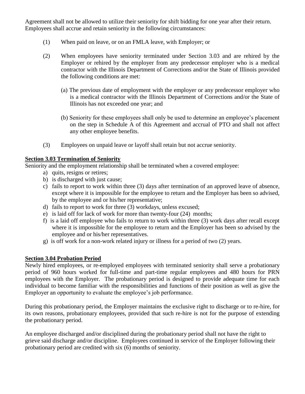Agreement shall not be allowed to utilize their seniority for shift bidding for one year after their return. Employees shall accrue and retain seniority in the following circumstances:

- (1) When paid on leave, or on an FMLA leave, with Employer; or
- (2) When employees have seniority terminated under Section 3.03 and are rehired by the Employer or rehired by the employer from any predecessor employer who is a medical contractor with the Illinois Department of Corrections and/or the State of Illinois provided the following conditions are met:
	- (a) The previous date of employment with the employer or any predecessor employer who is a medical contractor with the Illinois Department of Corrections and/or the State of Illinois has not exceeded one year; and
	- (b) Seniority for these employees shall only be used to determine an employee's placement on the step in Schedule A of this Agreement and accrual of PTO and shall not affect any other employee benefits.
- (3) Employees on unpaid leave or layoff shall retain but not accrue seniority.

# **Section 3.03 Termination of Seniority**

Seniority and the employment relationship shall be terminated when a covered employee:

- a) quits, resigns or retires;
- b) is discharged with just cause;
- c) fails to report to work within three (3) days after termination of an approved leave of absence, except where it is impossible for the employee to return and the Employer has been so advised, by the employee and or his/her representative;
- d) fails to report to work for three (3) workdays, unless excused;
- e) is laid off for lack of work for more than twenty-four (24) months;
- f) is a laid off employee who fails to return to work within three (3) work days after recall except where it is impossible for the employee to return and the Employer has been so advised by the employee and or his/her representatives.
- g) is off work for a non-work related injury or illness for a period of two (2) years.

# **Section 3.04 Probation Period**

Newly hired employees, or re-employed employees with terminated seniority shall serve a probationary period of 960 hours worked for full-time and part-time regular employees and 480 hours for PRN employees with the Employer. The probationary period is designed to provide adequate time for each individual to become familiar with the responsibilities and functions of their position as well as give the Employer an opportunity to evaluate the employee's job performance.

During this probationary period, the Employer maintains the exclusive right to discharge or to re-hire, for its own reasons, probationary employees, provided that such re-hire is not for the purpose of extending the probationary period.

An employee discharged and/or disciplined during the probationary period shall not have the right to grieve said discharge and/or discipline. Employees continued in service of the Employer following their probationary period are credited with six (6) months of seniority.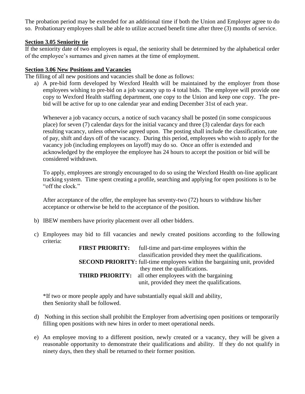The probation period may be extended for an additional time if both the Union and Employer agree to do so. Probationary employees shall be able to utilize accrued benefit time after three (3) months of service.

#### **Section 3.05 Seniority tie**

If the seniority date of two employees is equal, the seniority shall be determined by the alphabetical order of the employee's surnames and given names at the time of employment.

#### **Section 3.06 New Positions and Vacancies**

The filling of all new positions and vacancies shall be done as follows:

a) A pre-bid form developed by Wexford Health will be maintained by the employer from those employees wishing to pre-bid on a job vacancy up to 4 total bids. The employee will provide one copy to Wexford Health staffing department, one copy to the Union and keep one copy. The prebid will be active for up to one calendar year and ending December 31st of each year.

Whenever a job vacancy occurs, a notice of such vacancy shall be posted (in some conspicuous place) for seven (7) calendar days for the initial vacancy and three (3) calendar days for each resulting vacancy, unless otherwise agreed upon. The posting shall include the classification, rate of pay, shift and days off of the vacancy. During this period, employees who wish to apply for the vacancy job (including employees on layoff) may do so. Once an offer is extended and acknowledged by the employee the employee has 24 hours to accept the position or bid will be considered withdrawn.

To apply, employees are strongly encouraged to do so using the Wexford Health on-line applicant tracking system. Time spent creating a profile, searching and applying for open positions is to be "off the clock."

After acceptance of the offer, the employee has seventy-two (72) hours to withdraw his/her acceptance or otherwise be held to the acceptance of the position.

- b) IBEW members have priority placement over all other bidders.
- c) Employees may bid to fill vacancies and newly created positions according to the following criteria:

| <b>FIRST PRIORITY:</b> | full-time and part-time employees within the                                     |
|------------------------|----------------------------------------------------------------------------------|
|                        | classification provided they meet the qualifications.                            |
|                        | <b>SECOND PRIORITY:</b> full-time employees within the bargaining unit, provided |
|                        | they meet the qualifications.                                                    |
| <b>THIRD PRIORITY:</b> | all other employees with the bargaining                                          |
|                        | unit, provided they meet the qualifications.                                     |

\*If two or more people apply and have substantially equal skill and ability, then Seniority shall be followed.

- d) Nothing in this section shall prohibit the Employer from advertising open positions or temporarily filling open positions with new hires in order to meet operational needs.
- e) An employee moving to a different position, newly created or a vacancy, they will be given a reasonable opportunity to demonstrate their qualifications and ability. If they do not qualify in ninety days, then they shall be returned to their former position.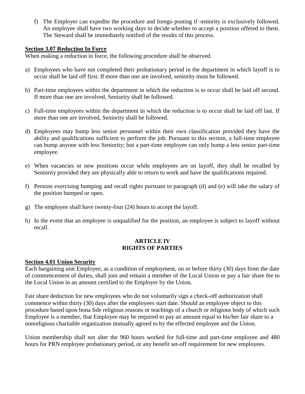f) The Employer can expedite the procedure and forego posting if seniority is exclusively followed. An employee shall have two working days to decide whether to accept a position offered to them. The Steward shall be immediately notified of the results of this process.

#### **Section 3.07 Reduction In Force**

When making a reduction in force, the following procedure shall be observed.

- a) Employees who have not completed their probationary period in the department in which layoff is to occur shall be laid off first. If more than one are involved, seniority must be followed.
- b) Part-time employees within the department in which the reduction is to occur shall be laid off second. If more than one are involved, Seniority shall be followed.
- c) Full-time employees within the department in which the reduction is to occur shall be laid off last. If more than one are involved, Seniority shall be followed.
- d) Employees may bump less senior personnel within their own classification provided they have the ability and qualifications sufficient to perform the job. Pursuant to this section, a full-time employee can bump anyone with less Seniority; but a part-time employee can only bump a less senior part-time employee.
- e) When vacancies or new positions occur while employees are on layoff, they shall be recalled by Seniority provided they are physically able to return to work and have the qualifications required.
- f) Persons exercising bumping and recall rights pursuant to paragraph (d) and (e) will take the salary of the position bumped or open.
- g) The employee shall have twenty-four (24) hours to accept the layoff.
- h) In the event that an employee is unqualified for the position, an employee is subject to layoff without recall.

#### **ARTICLE IV RIGHTS OF PARTIES**

# **Section 4.01 Union Security**

Each bargaining unit Employee, as a condition of employment, on or before thirty (30) days from the date of commencement of duties, shall join and remain a member of the Local Union or pay a fair share fee to the Local Union in an amount certified to the Employer by the Union.

Fair share deduction for new employees who do not voluntarily sign a check-off authorization shall commence within thirty (30) days after the employees start date. Should an employee object to this procedure based upon bona fide religious reasons or teachings of a church or religious body of which such Employee is a member, that Employee may be required to pay an amount equal to his/her fair share to a nonreligious charitable organization mutually agreed to by the effected employee and the Union.

Union membership shall not alter the 960 hours worked for full-time and part-time employee and 480 hours for PRN employee probationary period, or any benefit set-off requirement for new employees.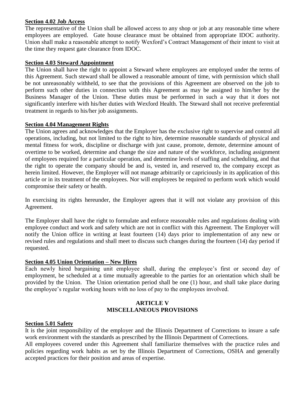# **Section 4.02 Job Access**

The representative of the Union shall be allowed access to any shop or job at any reasonable time where employees are employed. Gate house clearance must be obtained from appropriate IDOC authority. Union shall make a reasonable attempt to notify Wexford's Contract Management of their intent to visit at the time they request gate clearance from IDOC.

#### **Section 4.03 Steward Appointment**

The Union shall have the right to appoint a Steward where employees are employed under the terms of this Agreement. Such steward shall be allowed a reasonable amount of time, with permission which shall be not unreasonably withheld, to see that the provisions of this Agreement are observed on the job to perform such other duties in connection with this Agreement as may be assigned to him/her by the Business Manager of the Union. These duties must be performed in such a way that it does not significantly interfere with his/her duties with Wexford Health. The Steward shall not receive preferential treatment in regards to his/her job assignments.

#### **Section 4.04 Management Rights**

The Union agrees and acknowledges that the Employer has the exclusive right to supervise and control all operations, including, but not limited to the right to hire, determine reasonable standards of physical and mental fitness for work, discipline or discharge with just cause, promote, demote, determine amount of overtime to be worked, determine and change the size and nature of the workforce, including assignment of employees required for a particular operation, and determine levels of staffing and scheduling, and that the right to operate the company should be and is, vested in, and reserved to, the company except as herein limited. However, the Employer will not manage arbitrarily or capriciously in its application of this article or in its treatment of the employees. Nor will employees be required to perform work which would compromise their safety or health.

In exercising its rights hereunder, the Employer agrees that it will not violate any provision of this Agreement.

The Employer shall have the right to formulate and enforce reasonable rules and regulations dealing with employee conduct and work and safety which are not in conflict with this Agreement. The Employer will notify the Union office in writing at least fourteen (14) days prior to implementation of any new or revised rules and regulations and shall meet to discuss such changes during the fourteen (14) day period if requested.

#### **Section 4.05 Union Orientation – New Hires**

Each newly hired bargaining unit employee shall, during the employee's first or second day of employment, be scheduled at a time mutually agreeable to the parties for an orientation which shall be provided by the Union. The Union orientation period shall be one (1) hour, and shall take place during the employee's regular working hours with no loss of pay to the employees involved.

#### **ARTICLE V MISCELLANEOUS PROVISIONS**

#### **Section 5.01 Safety**

It is the joint responsibility of the employer and the Illinois Department of Corrections to insure a safe work environment with the standards as prescribed by the Illinois Department of Corrections.

All employees covered under this Agreement shall familiarize themselves with the practice rules and policies regarding work habits as set by the Illinois Department of Corrections, OSHA and generally accepted practices for their position and areas of expertise.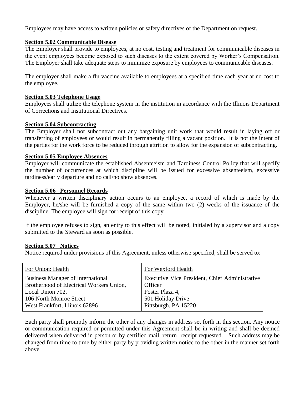Employees may have access to written policies or safety directives of the Department on request.

#### **Section 5.02 Communicable Disease**

The Employer shall provide to employees, at no cost, testing and treatment for communicable diseases in the event employees become exposed to such diseases to the extent covered by Worker's Compensation. The Employer shall take adequate steps to minimize exposure by employees to communicable diseases.

The employer shall make a flu vaccine available to employees at a specified time each year at no cost to the employee.

#### **Section 5.03 Telephone Usage**

Employees shall utilize the telephone system in the institution in accordance with the Illinois Department of Corrections and Institutional Directives.

#### **Section 5.04 Subcontracting**

The Employer shall not subcontract out any bargaining unit work that would result in laying off or transferring of employees or would result in permanently filling a vacant position. It is not the intent of the parties for the work force to be reduced through attrition to allow for the expansion of subcontracting.

#### **Section 5.05 Employee Absences**

Employer will communicate the established Absenteeism and Tardiness Control Policy that will specify the number of occurrences at which discipline will be issued for excessive absenteeism, excessive tardiness/early departure and no call/no show absences.

#### **Section 5.06 Personnel Records**

Whenever a written disciplinary action occurs to an employee, a record of which is made by the Employer, he/she will be furnished a copy of the same within two (2) weeks of the issuance of the discipline. The employee will sign for receipt of this copy.

If the employee refuses to sign, an entry to this effect will be noted, initialed by a supervisor and a copy submitted to the Steward as soon as possible.

#### **Section 5.07 Notices**

Notice required under provisions of this Agreement, unless otherwise specified, shall be served to:

| For Wexford Health                             |
|------------------------------------------------|
| Executive Vice President, Chief Administrative |
| Officer                                        |
| Foster Plaza 4,                                |
| 501 Holiday Drive                              |
| Pittsburgh, PA 15220                           |
|                                                |

Each party shall promptly inform the other of any changes in address set forth in this section. Any notice or communication required or permitted under this Agreement shall be in writing and shall be deemed delivered when delivered in person or by certified mail, return receipt requested. Such address may be changed from time to time by either party by providing written notice to the other in the manner set forth above.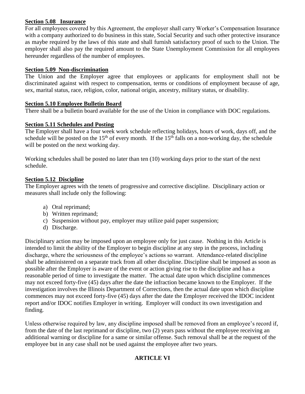# **Section 5.08 Insurance**

For all employees covered by this Agreement, the employer shall carry Worker's Compensation Insurance with a company authorized to do business in this state, Social Security and such other protective insurance as maybe required by the laws of this state and shall furnish satisfactory proof of such to the Union. The employer shall also pay the required amount to the State Unemployment Commission for all employees hereunder regardless of the number of employees.

# **Section 5.09 Non-discrimination**

The Union and the Employer agree that employees or applicants for employment shall not be discriminated against with respect to compensation, terms or conditions of employment because of age, sex, marital status, race, religion, color, national origin, ancestry, military status, or disability.

# **Section 5.10 Employee Bulletin Board**

There shall be a bulletin board available for the use of the Union in compliance with DOC regulations.

# **Section 5.11 Schedules and Posting**

The Employer shall have a four week work schedule reflecting holidays, hours of work, days off, and the schedule will be posted on the 15<sup>th</sup> of every month. If the 15<sup>th</sup> falls on a non-working day, the schedule will be posted on the next working day.

Working schedules shall be posted no later than ten (10) working days prior to the start of the next schedule.

# **Section 5.12 Discipline**

The Employer agrees with the tenets of progressive and corrective discipline. Disciplinary action or measures shall include only the following:

- a) Oral reprimand;
- b) Written reprimand;
- c) Suspension without pay, employer may utilize paid paper suspension;
- d) Discharge.

Disciplinary action may be imposed upon an employee only for just cause. Nothing in this Article is intended to limit the ability of the Employer to begin discipline at any step in the process, including discharge, where the seriousness of the employee's actions so warrant. Attendance-related discipline shall be administered on a separate track from all other discipline. Discipline shall be imposed as soon as possible after the Employer is aware of the event or action giving rise to the discipline and has a reasonable period of time to investigate the matter. The actual date upon which discipline commences may not exceed forty-five (45) days after the date the infraction became known to the Employer. If the investigation involves the Illinois Department of Corrections, then the actual date upon which discipline commences may not exceed forty-five (45) days after the date the Employer received the IDOC incident report and/or IDOC notifies Employer in writing. Employer will conduct its own investigation and finding.

Unless otherwise required by law, any discipline imposed shall be removed from an employee's record if, from the date of the last reprimand or discipline, two (2) years pass without the employee receiving an additional warning or discipline for a same or similar offense. Such removal shall be at the request of the employee but in any case shall not be used against the employee after two years.

# **ARTICLE VI**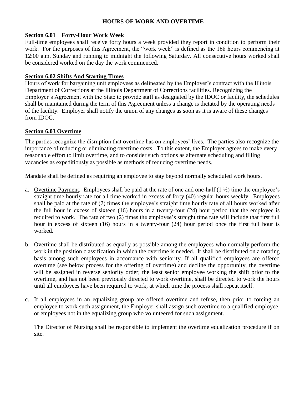# **HOURS OF WORK AND OVERTIME**

# **Section 6.01 Forty-Hour Work Week**

Full-time employees shall receive forty hours a week provided they report in condition to perform their work. For the purposes of this Agreement, the "work week" is defined as the 168 hours commencing at 12:00 a.m. Sunday and running to midnight the following Saturday. All consecutive hours worked shall be considered worked on the day the work commenced.

#### **Section 6.02 Shifts And Starting Times**

Hours of work for bargaining unit employees as delineated by the Employer's contract with the Illinois Department of Corrections at the Illinois Department of Corrections facilities. Recognizing the Employer's Agreement with the State to provide staff as designated by the IDOC or facility, the schedules shall be maintained during the term of this Agreement unless a change is dictated by the operating needs of the facility. Employer shall notify the union of any changes as soon as it is aware of these changes from IDOC.

#### **Section 6.03 Overtime**

The parties recognize the disruption that overtime has on employees' lives. The parties also recognize the importance of reducing or eliminating overtime costs. To this extent, the Employer agrees to make every reasonable effort to limit overtime, and to consider such options as alternate scheduling and filling vacancies as expeditiously as possible as methods of reducing overtime needs.

Mandate shall be defined as requiring an employee to stay beyond normally scheduled work hours.

- a. Overtime Payment. Employees shall be paid at the rate of one and one-half  $(1 \frac{1}{2})$  time the employee's straight time hourly rate for all time worked in excess of forty (40) regular hours weekly. Employees shall be paid at the rate of (2) times the employee's straight time hourly rate of all hours worked after the full hour in excess of sixteen (16) hours in a twenty-four (24) hour period that the employee is required to work. The rate of two (2) times the employee's straight time rate will include that first full hour in excess of sixteen (16) hours in a twenty-four (24) hour period once the first full hour is worked.
- b. Overtime shall be distributed as equally as possible among the employees who normally perform the work in the position classification in which the overtime is needed. It shall be distributed on a rotating basis among such employees in accordance with seniority. If all qualified employees are offered overtime (see below process for the offering of overtime) and decline the opportunity, the overtime will be assigned in reverse seniority order; the least senior employee working the shift prior to the overtime, and has not been previously directed to work overtime, shall be directed to work the hours until all employees have been required to work, at which time the process shall repeat itself.
- c. If all employees in an equalizing group are offered overtime and refuse, then prior to forcing an employee to work such assignment, the Employer shall assign such overtime to a qualified employee, or employees not in the equalizing group who volunteered for such assignment.

The Director of Nursing shall be responsible to implement the overtime equalization procedure if on site.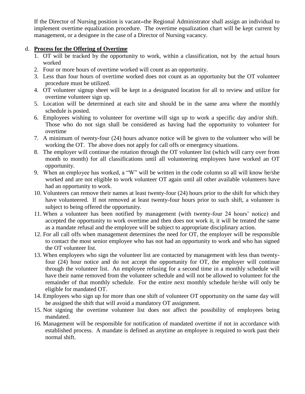If the Director of Nursing position is vacant-the Regional Administrator shall assign an individual to implement overtime equalization procedure. The overtime equalization chart will be kept current by management, or a designee in the case of a Director of Nursing vacancy.

#### d. **Process for the Offering of Overtime**

- 1. OT will be tracked by the opportunity to work, within a classification, not by the actual hours worked
- 2. Four or more hours of overtime worked will count as an opportunity.
- 3. Less than four hours of overtime worked does not count as an opportunity but the OT volunteer procedure must be utilized.
- 4. OT volunteer signup sheet will be kept in a designated location for all to review and utilize for overtime volunteer sign up.
- 5. Location will be determined at each site and should be in the same area where the monthly schedule is posted.
- 6. Employees wishing to volunteer for overtime will sign up to work a specific day and/or shift. Those who do not sign shall be considered as having had the opportunity to volunteer for overtime
- 7. A minimum of twenty-four (24) hours advance notice will be given to the volunteer who will be working the OT. The above does not apply for call offs or emergency situations.
- 8. The employer will continue the rotation through the OT volunteer list (which will carry over from month to month) for all classifications until all volunteering employees have worked an OT opportunity.
- 9. When an employee has worked, a "W" will be written in the code column so all will know he/she worked and are not eligible to work volunteer OT again until all other available volunteers have had an opportunity to work.
- 10. Volunteers can remove their names at least twenty-four (24) hours prior to the shift for which they have volunteered. If not removed at least twenty-four hours prior to such shift, a volunteer is subject to being offered the opportunity.
- 11. When a volunteer has been notified by management (with twenty-four 24 hours' notice) and accepted the opportunity to work overtime and then does not work it, it will be treated the same as a mandate refusal and the employee will be subject to appropriate disciplinary action.
- 12. For all call offs when management determines the need for OT, the employer will be responsible to contact the most senior employee who has not had an opportunity to work and who has signed the OT volunteer list.
- 13. When employees who sign the volunteer list are contacted by management with less than twentyfour (24) hour notice and do not accept the opportunity for OT, the employer will continue through the volunteer list. An employee refusing for a second time in a monthly schedule will have their name removed from the volunteer schedule and will not be allowed to volunteer for the remainder of that monthly schedule. For the entire next monthly schedule he/she will only be eligible for mandated OT.
- 14. Employees who sign up for more than one shift of volunteer OT opportunity on the same day will be assigned the shift that will avoid a mandatory OT assignment.
- 15. Not signing the overtime volunteer list does not affect the possibility of employees being mandated.
- 16. Management will be responsible for notification of mandated overtime if not in accordance with established process. A mandate is defined as anytime an employee is required to work past their normal shift.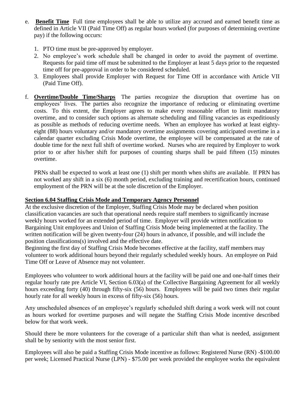- e. **Benefit Time** Full time employees shall be able to utilize any accrued and earned benefit time as defined in Article VII (Paid Time Off) as regular hours worked (for purposes of determining overtime pay) if the following occurs:
	- 1. PTO time must be pre-approved by employer.
	- 2. No employee's work schedule shall be changed in order to avoid the payment of overtime. Requests for paid time off must be submitted to the Employer at least 5 days prior to the requested time off for pre-approval in order to be considered scheduled.
	- 3. Employees shall provide Employer with Request for Time Off in accordance with Article VII (Paid Time Off).
- f. **Overtime/Double Time/Sharps** The parties recognize the disruption that overtime has on employees' lives. The parties also recognize the importance of reducing or eliminating overtime costs. To this extent, the Employer agrees to make every reasonable effort to limit mandatory overtime, and to consider such options as alternate scheduling and filling vacancies as expeditiously as possible as methods of reducing overtime needs. When an employee has worked at least eightyeight (88) hours voluntary and/or mandatory overtime assignments covering anticipated overtime in a calendar quarter excluding Crisis Mode overtime, the employee will be compensated at the rate of double time for the next full shift of overtime worked. Nurses who are required by Employer to work prior to or after his/her shift for purposes of counting sharps shall be paid fifteen (15) minutes overtime.

PRNs shall be expected to work at least one (1) shift per month when shifts are available. If PRN has not worked any shift in a six (6) month period, excluding training and recertification hours, continued employment of the PRN will be at the sole discretion of the Employer.

# **Section 6.04 Staffing Crisis Mode and Temporary Agency Personnel**

At the exclusive discretion of the Employer, Staffing Crisis Mode may be declared when position classification vacancies are such that operational needs require staff members to significantly increase weekly hours worked for an extended period of time. Employer will provide written notification to Bargaining Unit employees and Union of Staffing Crisis Mode being implemented at the facility. The written notification will be given twenty-four (24) hours in advance, if possible, and will include the position classifications(s) involved and the effective date.

Beginning the first day of Staffing Crisis Mode becomes effective at the facility, staff members may volunteer to work additional hours beyond their regularly scheduled weekly hours. An employee on Paid Time Off or Leave of Absence may not volunteer.

Employees who volunteer to work additional hours at the facility will be paid one and one-half times their regular hourly rate pre Article VI, Section 6.03(a) of the Collective Bargaining Agreement for all weekly hours exceeding forty (40) through fifty-six (56) hours. Employees will be paid two times their regular hourly rate for all weekly hours in excess of fifty-six (56) hours.

Any unscheduled absences of an employee's regularly scheduled shift during a work week will not count as hours worked for overtime purposes and will negate the Staffing Crisis Mode incentive described below for that work week.

Should there be more volunteers for the coverage of a particular shift than what is needed, assignment shall be by seniority with the most senior first.

Employees will also be paid a Staffing Crisis Mode incentive as follows: Registered Nurse (RN) -\$100.00 per week; Licensed Practical Nurse (LPN) - \$75.00 per week provided the employee works the equivalent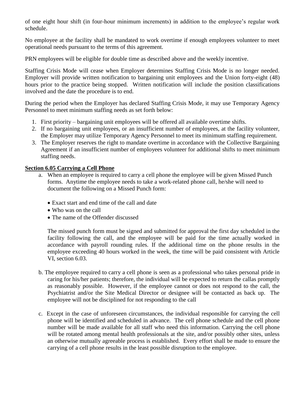of one eight hour shift (in four-hour minimum increments) in addition to the employee's regular work schedule.

No employee at the facility shall be mandated to work overtime if enough employees volunteer to meet operational needs pursuant to the terms of this agreement.

PRN employees will be eligible for double time as described above and the weekly incentive.

Staffing Crisis Mode will cease when Employer determines Staffing Crisis Mode is no longer needed. Employer will provide written notification to bargaining unit employees and the Union forty-eight (48) hours prior to the practice being stopped. Written notification will include the position classifications involved and the date the procedure is to end.

During the period when the Employer has declared Staffing Crisis Mode, it may use Temporary Agency Personnel to meet minimum staffing needs as set forth below:

- 1. First priority bargaining unit employees will be offered all available overtime shifts.
- 2. If no bargaining unit employees, or an insufficient number of employees, at the facility volunteer, the Employer may utilize Temporary Agency Personnel to meet its minimum staffing requirement.
- 3. The Employer reserves the right to mandate overtime in accordance with the Collective Bargaining Agreement if an insufficient number of employees volunteer for additional shifts to meet minimum staffing needs.

# **Section 6.05 Carrying a Cell Phone**

- a. When an employee is required to carry a cell phone the employee will be given Missed Punch forms. Anytime the employee needs to take a work-related phone call, he/she will need to document the following on a Missed Punch form:
	- Exact start and end time of the call and date
	- Who was on the call
	- The name of the Offender discussed

The missed punch form must be signed and submitted for approval the first day scheduled in the facility following the call, and the employee will be paid for the time actually worked in accordance with payroll rounding rules. If the additional time on the phone results in the employee exceeding 40 hours worked in the week, the time will be paid consistent with Article VI, section 6.03.

- b. The employee required to carry a cell phone is seen as a professional who takes personal pride in caring for his/her patients; therefore, the individual will be expected to return the callas promptly as reasonably possible. However, if the employee cannot or does not respond to the call, the Psychiatrist and/or the Site Medical Director or designee will be contacted as back up. The employee will not be disciplined for not responding to the call
- c. Except in the case of unforeseen circumstances, the individual responsible for carrying the cell phone will be identified and scheduled in advance. The cell phone schedule and the cell phone number will be made available for all staff who need this information. Carrying the cell phone will be rotated among mental health professionals at the site, and/or possibly other sites, unless an otherwise mutually agreeable process is established. Every effort shall be made to ensure the carrying of a cell phone results in the least possible disruption to the employee.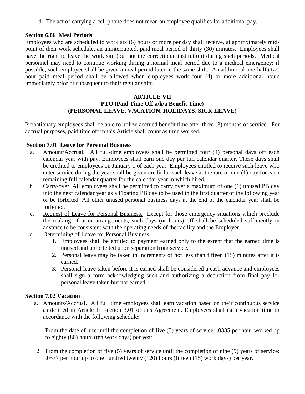d. The act of carrying a cell phone does not mean an employee qualifies for additional pay.

#### **Section 6.06 Meal Periods**

Employees who are scheduled to work six (6) hours or more per day shall receive, at approximately midpoint of their work schedule, an uninterrupted, paid meal period of thirty (30) minutes. Employees shall have the right to leave the work site (but not the correctional institution) during such periods. Medical personnel may need to continue working during a normal meal period due to a medical emergency; if possible, such employee shall be given a meal period later in the same shift. An additional one-half (1/2) hour paid meal period shall be allowed when employees work four (4) or more additional hours immediately prior or subsequent to their regular shift.

#### **ARTICLE VII PTO (Paid Time Off a/k/a Benefit Time) (PERSONAL LEAVE, VACATION, HOLIDAYS, SICK LEAVE)**

Probationary employees shall be able to utilize accrued benefit time after three (3) months of service. For accrual purposes, paid time off in this Article shall count as time worked.

# **Section 7.01 Leave for Personal Business**

- a. Amount/Accrual. All full-time employees shall be permitted four (4) personal days off each calendar year with pay. Employees shall earn one day per full calendar quarter. These days shall be credited to employees on January 1 of each year. Employees entitled to receive such leave who enter service during the year shall be given credit for such leave at the rate of one (1) day for each remaining full calendar quarter for the calendar year in which hired.
- b. Carry-over. All employees shall be permitted to carry over a maximum of one (1) unused PB day into the next calendar year as a Floating PB day to be used in the first quarter of the following year or be forfeited. All other unused personal business days at the end of the calendar year shall be forfeited.
- c. Request of Leave for Personal Business. Except for those emergency situations which preclude the making of prior arrangements, such days (or hours) off shall be scheduled sufficiently in advance to be consistent with the operating needs of the facility and the Employer.
- d. Determining of Leave for Personal Business.
	- 1. Employees shall be entitled to payment earned only to the extent that the earned time is unused and unforfeited upon separation from service.
	- 2. Personal leave may be taken in increments of not less than fifteen (15) minutes after it is earned.
	- 3. Personal leave taken before it is earned shall be considered a cash advance and employees shall sign a form acknowledging such and authorizing a deduction from final pay for personal leave taken but not earned.

# **Section 7.02 Vacation**

- a. Amounts/Accrual.All full time employees shall earn vacation based on their continuous service as defined in Article III section 3.01 of this Agreement. Employees shall earn vacation time in accordance with the following schedule:
- 1. From the date of hire until the completion of five (5) years of service: .0385 per hour worked up to eighty (80) hours (ten work days) per year.
- 2. From the completion of five (5) years of service until the completion of nine (9) years of service: .0577 per hour up to one hundred twenty (120) hours (fifteen (15) work days) per year.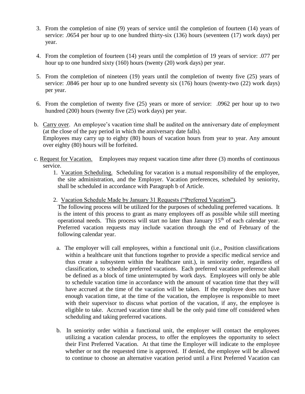- 3. From the completion of nine (9) years of service until the completion of fourteen (14) years of service: .0654 per hour up to one hundred thirty-six (136) hours (seventeen (17) work days) per year.
- 4. From the completion of fourteen (14) years until the completion of 19 years of service: .077 per hour up to one hundred sixty (160) hours (twenty (20) work days) per year.
- 5. From the completion of nineteen (19) years until the completion of twenty five (25) years of service: .0846 per hour up to one hundred seventy six (176) hours (twenty-two (22) work days) per year.
- 6. From the completion of twenty five (25) years or more of service: .0962 per hour up to two hundred (200) hours (twenty five (25) work days) per year.
- b. Carry over. An employee's vacation time shall be audited on the anniversary date of employment (at the close of the pay period in which the anniversary date falls). Employees may carry up to eighty (80) hours of vacation hours from year to year. Any amount over eighty (80) hours will be forfeited.
- c. Request for Vacation. Employees may request vacation time after three (3) months of continuous service.
	- 1. Vacation Scheduling. Scheduling for vacation is a mutual responsibility of the employee, the site administration, and the Employer. Vacation preferences, scheduled by seniority, shall be scheduled in accordance with Paragraph b of Article.
	- 2. Vacation Schedule Made by January 31 Requests ("Preferred Vacation").

The following process will be utilized for the purposes of scheduling preferred vacations. It is the intent of this process to grant as many employees off as possible while still meeting operational needs. This process will start no later than January  $15<sup>th</sup>$  of each calendar year. Preferred vacation requests may include vacation through the end of February of the following calendar year.

- a. The employer will call employees, within a functional unit (i.e., Position classifications within a healthcare unit that functions together to provide a specific medical service and thus create a subsystem within the healthcare unit.), in seniority order, regardless of classification, to schedule preferred vacations. Each preferred vacation preference shall be defined as a block of time uninterrupted by work days. Employees will only be able to schedule vacation time in accordance with the amount of vacation time that they will have accrued at the time of the vacation will be taken. If the employee does not have enough vacation time, at the time of the vacation, the employee is responsible to meet with their supervisor to discuss what portion of the vacation, if any, the employee is eligible to take. Accrued vacation time shall be the only paid time off considered when scheduling and taking preferred vacations.
- b. In seniority order within a functional unit, the employer will contact the employees utilizing a vacation calendar process, to offer the employees the opportunity to select their First Preferred Vacation. At that time the Employer will indicate to the employee whether or not the requested time is approved. If denied, the employee will be allowed to continue to choose an alternative vacation period until a First Preferred Vacation can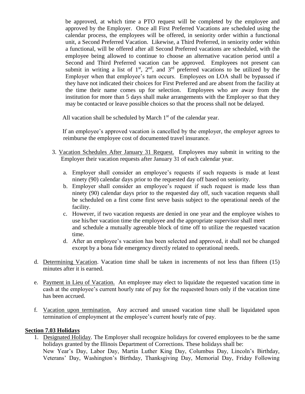be approved, at which time a PTO request will be completed by the employee and approved by the Employer. Once all First Preferred Vacations are scheduled using the calendar process, the employees will be offered, in seniority order within a functional unit, a Second Preferred Vacation. Likewise, a Third Preferred, in seniority order within a functional, will be offered after all Second Preferred vacations are scheduled, with the employee being allowed to continue to choose an alternative vacation period until a Second and Third Preferred vacation can be approved. Employees not present can submit in writing a list of  $1<sup>st</sup>$ ,  $2<sup>nd</sup>$ , and  $3<sup>rd</sup>$  preferred vacations to be utilized by the Employer when that employee's turn occurs. Employees on LOA shall be bypassed if they have not indicated their choices for First Preferred and are absent from the facility at the time their name comes up for selection. Employees who are away from the institution for more than 5 days shall make arrangements with the Employer so that they may be contacted or leave possible choices so that the process shall not be delayed.

All vacation shall be scheduled by March  $1<sup>st</sup>$  of the calendar year.

 If an employee's approved vacation is cancelled by the employer, the employer agrees to reimburse the employee cost of documented travel insurance.

- 3. Vacation Schedules After January 31 Request. Employees may submit in writing to the Employer their vacation requests after January 31 of each calendar year.
	- a. Employer shall consider an employee's requests if such requests is made at least ninety (90) calendar days prior to the requested day off based on seniority.
	- b. Employer shall consider an employee's request if such request is made less than ninety (90) calendar days prior to the requested day off, such vacation requests shall be scheduled on a first come first serve basis subject to the operational needs of the facility.
	- c. However, if two vacation requests are denied in one year and the employee wishes to use his/her vacation time the employee and the appropriate supervisor shall meet and schedule a mutually agreeable block of time off to utilize the requested vacation time.
	- d. After an employee's vacation has been selected and approved, it shall not be changed except by a bona fide emergency directly related to operational needs.
- d. Determining Vacation. Vacation time shall be taken in increments of not less than fifteen (15) minutes after it is earned.
- e. Payment in Lieu of Vacation. An employee may elect to liquidate the requested vacation time in cash at the employee's current hourly rate of pay for the requested hours only if the vacation time has been accrued.
- f. Vacation upon termination. Any accrued and unused vacation time shall be liquidated upon termination of employment at the employee's current hourly rate of pay.

#### **Section 7.03 Holidays**

1. Designated Holiday. The Employer shall recognize holidays for covered employees to be the same holidays granted by the Illinois Department of Corrections. These holidays shall be: New Year's Day, Labor Day, Martin Luther King Day, Columbus Day, Lincoln's Birthday, Veterans' Day, Washington's Birthday, Thanksgiving Day, Memorial Day, Friday Following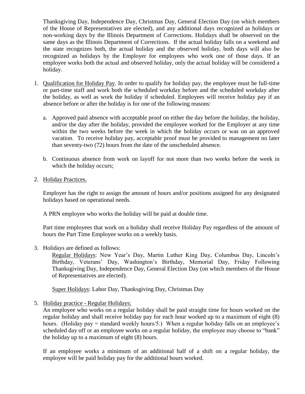Thanksgiving Day, Independence Day, Christmas Day, General Election Day (on which members of the House of Representatives are elected), and any additional days recognized as holidays or non-working days by the Illinois Department of Corrections. Holidays shall be observed on the same days as the Illinois Department of Corrections. If the actual holiday falls on a weekend and the state recognizes both, the actual holiday and the observed holiday, both days will also be recognized as holidays by the Employer for employees who work one of those days. If an employee works both the actual and observed holiday, only the actual holiday will be considered a holiday.

- 1. Qualification for Holiday Pay. In order to qualify for holiday pay, the employee must be full-time or part-time staff and work both the scheduled workday before and the scheduled workday after the holiday, as well as work the holiday if scheduled. Employees will receive holiday pay if an absence before or after the holiday is for one of the following reasons:
	- a. Approved paid absence with acceptable proof on either the day before the holiday, the holiday, and/or the day after the holiday, provided the employee worked for the Employer at any time within the two weeks before the week in which the holiday occurs or was on an approved vacation. To receive holiday pay, acceptable proof must be provided to management no later than seventy-two (72) hours from the date of the unscheduled absence.
	- b. Continuous absence from work on layoff for not more than two weeks before the week in which the holiday occurs;
- 2. Holiday Practices.

Employer has the right to assign the amount of hours and/or positions assigned for any designated holidays based on operational needs.

A PRN employee who works the holiday will be paid at double time.

Part time employees that work on a holiday shall receive Holiday Pay regardless of the amount of hours the Part Time Employee works on a weekly basis.

3. Holidays are defined as follows:

Regular Holidays: New Year's Day, Martin Luther King Day, Columbus Day, Lincoln's Birthday, Veterans' Day, Washington's Birthday, Memorial Day, Friday Following Thanksgiving Day, Independence Day, General Election Day (on which members of the House of Representatives are elected).

Super Holidays: Labor Day, Thanksgiving Day, Christmas Day

5. Holiday practice - Regular Holidays:

An employee who works on a regular holiday shall be paid straight time for hours worked on the regular holiday and shall receive holiday pay for each hour worked up to a maximum of eight (8) hours. (Holiday pay = standard weekly hours/5.) When a regular holiday falls on an employee's scheduled day off or an employee works on a regular holiday, the employee may choose to "bank" the holiday up to a maximum of eight (8) hours.

If an employee works a minimum of an additional half of a shift on a regular holiday, the employee will be paid holiday pay for the additional hours worked.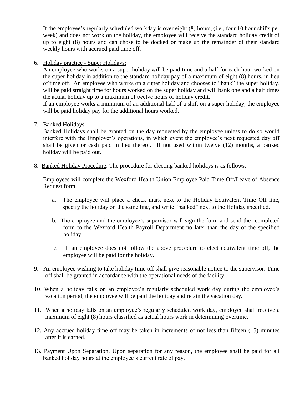If the employee's regularly scheduled workday is over eight (8) hours, (i.e., four 10 hour shifts per week) and does not work on the holiday, the employee will receive the standard holiday credit of up to eight (8) hours and can chose to be docked or make up the remainder of their standard weekly hours with accrued paid time off.

6. Holiday practice - Super Holidays:

An employee who works on a super holiday will be paid time and a half for each hour worked on the super holiday in addition to the standard holiday pay of a maximum of eight (8) hours, in lieu of time off. An employee who works on a super holiday and chooses to "bank" the super holiday, will be paid straight time for hours worked on the super holiday and will bank one and a half times the actual holiday up to a maximum of twelve hours of holiday credit.

If an employee works a minimum of an additional half of a shift on a super holiday, the employee will be paid holiday pay for the additional hours worked.

7. Banked Holidays:

Banked Holidays shall be granted on the day requested by the employee unless to do so would interfere with the Employer's operations, in which event the employee's next requested day off shall be given or cash paid in lieu thereof. If not used within twelve (12) months, a banked holiday will be paid out.

8. Banked Holiday Procedure. The procedure for electing banked holidays is as follows:

Employees will complete the Wexford Health Union Employee Paid Time Off/Leave of Absence Request form.

- a. The employee will place a check mark next to the Holiday Equivalent Time Off line, specify the holiday on the same line, and write "banked" next to the Holiday specified.
- b. The employee and the employee's supervisor will sign the form and send the completed form to the Wexford Health Payroll Department no later than the day of the specified holiday.
- c. If an employee does not follow the above procedure to elect equivalent time off, the employee will be paid for the holiday.
- 9. An employee wishing to take holiday time off shall give reasonable notice to the supervisor. Time off shall be granted in accordance with the operational needs of the facility.
- 10. When a holiday falls on an employee's regularly scheduled work day during the employee's vacation period, the employee will be paid the holiday and retain the vacation day.
- 11. When a holiday falls on an employee's regularly scheduled work day, employee shall receive a maximum of eight (8) hours classified as actual hours work in determining overtime.
- 12. Any accrued holiday time off may be taken in increments of not less than fifteen (15) minutes after it is earned.
- 13. Payment Upon Separation. Upon separation for any reason, the employee shall be paid for all banked holiday hours at the employee's current rate of pay.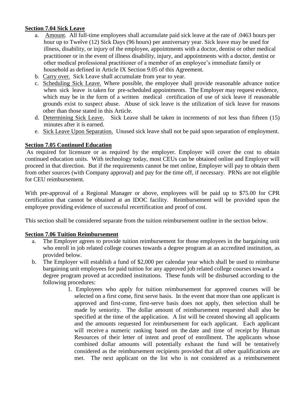# **Section 7.04 Sick Leave**

- a. Amount. All full-time employees shall accumulate paid sick leave at the rate of .0463 hours per hour up to Twelve (12) Sick Days (96 hours) per anniversary year. Sick leave may be used for illness, disability, or injury of the employee, appointments with a doctor, dentist or other medical practitioner or in the event of illness disability, injury, and appointments with a doctor, dentist or other medical professional practitioner of a member of an employee's immediate family or household as defined in Article IX Section 9.05 of this Agreement.
- b. Carry over. Sick Leave shall accumulate from year to year.
- c. Scheduling Sick Leave. Where possible, the employee shall provide reasonable advance notice when sick leave is taken for pre-scheduled appointments. The Employer may request evidence, which may be in the form of a written medical certification of use of sick leave if reasonable grounds exist to suspect abuse. Abuse of sick leave is the utilization of sick leave for reasons other than those stated in this Article.
- d. Determining Sick Leave. Sick Leave shall be taken in increments of not less than fifteen (15) minutes after it is earned.
- e. Sick Leave Upon Separation. Unused sick leave shall not be paid upon separation of employment.

# **Section 7.05 Continued Education**

As required for licensure or as required by the employer. Employer will cover the cost to obtain continued education units. With technology today, most CEUs can be obtained online and Employer will proceed in that direction. But if the requirements cannot be met online, Employer will pay to obtain them from other sources (with Company approval) and pay for the time off, if necessary. PRNs are not eligible for CEU reimbursement.

With pre-approval of a Regional Manager or above, employees will be paid up to \$75.00 for CPR certification that cannot be obtained at an IDOC facility. Reimbursement will be provided upon the employee providing evidence of successful recertification and proof of cost.

This section shall be considered separate from the tuition reimbursement outline in the section below.

# **Section 7.06 Tuition Reimbursement**

- a. The Employer agrees to provide tuition reimbursement for those employees in the bargaining unit who enroll in job related college courses towards a degree program at an accredited institution, as provided below.
- b. The Employer will establish a fund of \$2,000 per calendar year which shall be used to reimburse bargaining unit employees for paid tuition for any approved job related college courses toward a degree program proved at accredited institutions. These funds will be disbursed according to the following procedures:
	- 1. Employees who apply for tuition reimbursement for approved courses will be selected on a first come, first serve basis. In the event that more than one applicant is approved and first-come, first-serve basis does not apply, then selection shall be made by seniority. The dollar amount of reimbursement requested shall also be specified at the time of the application. A list will be created showing all applicants and the amounts requested for reimbursement for each applicant. Each applicant will receive a numeric ranking based on the date and time of receipt by Human Resources of their letter of intent and proof of enrollment. The applicants whose combined dollar amounts will potentially exhaust the fund will be tentatively considered as the reimbursement recipients provided that all other qualifications are met. The next applicant on the list who is not considered as a reimbursement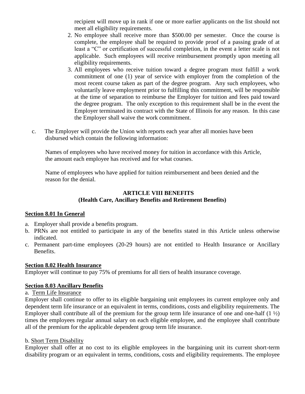recipient will move up in rank if one or more earlier applicants on the list should not meet all eligibility requirements.

- 2. No employee shall receive more than \$500.00 per semester. Once the course is complete, the employee shall be required to provide proof of a passing grade of at least a "C" or certification of successful completion, in the event a letter scale is not applicable. Such employees will receive reimbursement promptly upon meeting all eligibility requirements.
- 3. All employees who receive tuition toward a degree program must fulfill a work commitment of one (1) year of service with employer from the completion of the most recent course taken as part of the degree program. Any such employees, who voluntarily leave employment prior to fulfilling this commitment, will be responsible at the time of separation to reimburse the Employer for tuition and fees paid toward the degree program. The only exception to this requirement shall be in the event the Employer terminated its contract with the State of Illinois for any reason. In this case the Employer shall waive the work commitment.
- c. The Employer will provide the Union with reports each year after all monies have been disbursed which contain the following information:

Names of employees who have received money for tuition in accordance with this Article, the amount each employee has received and for what courses.

Name of employees who have applied for tuition reimbursement and been denied and the reason for the denial.

# **ARTICLE VIII BENEFITS (Health Care, Ancillary Benefits and Retirement Benefits)**

# **Section 8.01 In General**

- a. Employer shall provide a benefits program.
- b. PRNs are not entitled to participate in any of the benefits stated in this Article unless otherwise indicated.
- c. Permanent part-time employees (20-29 hours) are not entitled to Health Insurance or Ancillary Benefits.

# **Section 8.02 Health Insurance**

Employer will continue to pay 75% of premiums for all tiers of health insurance coverage.

# **Section 8.03 Ancillary Benefits**

# a. Term Life Insurance

Employer shall continue to offer to its eligible bargaining unit employees its current employee only and dependent term life insurance or an equivalent in terms, conditions, costs and eligibility requirements. The Employer shall contribute all of the premium for the group term life insurance of one and one-half  $(1 \frac{1}{2})$ times the employees regular annual salary on each eligible employee, and the employee shall contribute all of the premium for the applicable dependent group term life insurance.

# b. Short Term Disability

Employer shall offer at no cost to its eligible employees in the bargaining unit its current short-term disability program or an equivalent in terms, conditions, costs and eligibility requirements. The employee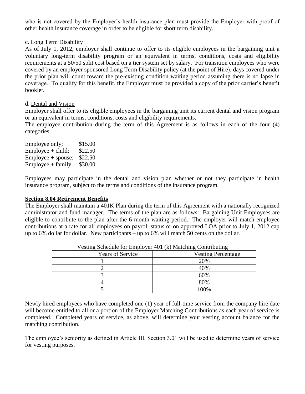who is not covered by the Employer's health insurance plan must provide the Employer with proof of other health insurance coverage in order to be eligible for short term disability.

#### c. Long Term Disability

As of July 1, 2012, employer shall continue to offer to its eligible employees in the bargaining unit a voluntary long-term disability program or an equivalent in terms, conditions, costs and eligibility requirements at a 50/50 split cost based on a tier system set by salary. For transition employees who were covered by an employer sponsored Long Term Disability policy (at the point of Hire), days covered under the prior plan will count toward the pre-existing condition waiting period assuming there is no lapse in coverage. To qualify for this benefit, the Employer must be provided a copy of the prior carrier's benefit booklet.

#### d. Dental and Vision

Employer shall offer to its eligible employees in the bargaining unit its current dental and vision program or an equivalent in terms, conditions, costs and eligibility requirements.

The employee contribution during the term of this Agreement is as follows in each of the four (4) categories:

| Employee only;       | \$15.00 |
|----------------------|---------|
| $Employee + child;$  | \$22.50 |
| $Employee + spouse;$ | \$22.50 |
| $Employee + family;$ | \$30.00 |

Employees may participate in the dental and vision plan whether or not they participate in health insurance program, subject to the terms and conditions of the insurance program.

#### **Section 8.04 Retirement Benefits**

The Employer shall maintain a 401K Plan during the term of this Agreement with a nationally recognized administrator and fund manager. The terms of the plan are as follows: Bargaining Unit Employees are eligible to contribute to the plan after the 6-month waiting period. The employer will match employee contributions at a rate for all employees on payroll status or on approved LOA prior to July 1, 2012 cap up to 6% dollar for dollar. New participants – up to 6% will match 50 cents on the dollar.

|                         | $\alpha$ count between the Employer For $(\alpha)$ matering contributing |  |  |  |  |  |
|-------------------------|--------------------------------------------------------------------------|--|--|--|--|--|
| <b>Years of Service</b> | <b>Vesting Percentage</b>                                                |  |  |  |  |  |
|                         | 20%                                                                      |  |  |  |  |  |
|                         | 40%                                                                      |  |  |  |  |  |
|                         | 60%                                                                      |  |  |  |  |  |
|                         | 80%                                                                      |  |  |  |  |  |
|                         | 100%                                                                     |  |  |  |  |  |

|  | Vesting Schedule for Employer 401 (k) Matching Contributing |
|--|-------------------------------------------------------------|
|  |                                                             |

Newly hired employees who have completed one (1) year of full-time service from the company hire date will become entitled to all or a portion of the Employer Matching Contributions as each year of service is completed. Completed years of service, as above, will determine your vesting account balance for the matching contribution.

The employee's seniority as defined in Article III, Section 3.01 will be used to determine years of service for vesting purposes.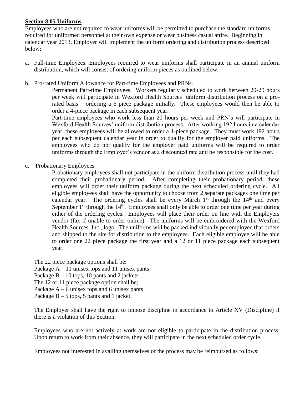# **Section 8.05 Uniforms**

Employees who are not required to wear uniforms will be permitted to purchase the standard uniforms required for uniformed personnel at their own expense or wear business casual attire. Beginning in calendar year 2013, Employer will implement the uniform ordering and distribution process described below:

- a. Full-time Employees. Employees required to wear uniforms shall participate in an annual uniform distribution, which will consist of ordering uniform pieces as outlined below.
- b. Pro-rated Uniform Allowance for Part-time Employees and PRNs.

Permanent Part-time Employees. Workers regularly scheduled to work between 20-29 hours per week will participate in Wexford Health Sources' uniform distribution process on a prorated basis – ordering a 6 piece package initially. These employees would then be able to order a 4-piece package in each subsequent year.

Part-time employees who work less than 20 hours per week and PRN's will participate in Wexford Health Sources' uniform distribution process. After working 192 hours in a calendar year, these employees will be allowed to order a 4-piece package. They must work 192 hours per each subsequent calendar year in order to qualify for the employer paid uniforms. The employees who do not qualify for the employer paid uniforms will be required to order uniforms through the Employer's vendor at a discounted rate and be responsible for the cost.

c. Probationary Employees

Probationary employees shall not participate in the uniform distribution process until they had completed their probationary period. After completing their probationary period, these employees will order their uniform package during the next scheduled ordering cycle. All eligible employees shall have the opportunity to choose from 2 separate packages one time per calendar year. The ordering cycles shall be every March  $1<sup>st</sup>$  through the  $14<sup>th</sup>$  and every September  $1<sup>st</sup>$  through the  $14<sup>th</sup>$ . Employees shall only be able to order one time per year during either of the ordering cycles. Employees will place their order on line with the Employers vendor (fax if unable to order online). The uniforms will be embroidered with the Wexford Health Sources, Inc., logo. The uniforms will be packed individually per employee that orders and shipped to the site for distribution to the employees. Each eligible employee will be able to order one 22 piece package the first year and a 12 or 11 piece package each subsequent year.

The 22 piece package options shall be:

Package  $A - 11$  unisex tops and 11 unisex pants

Package  $B - 10$  tops, 10 pants and 2 jackets

The 12 or 11 piece package option shall be;

Package  $A - 6$  unisex tops and 6 unisex pants

Package  $B - 5$  tops, 5 pants and 1 jacket.

The Employer shall have the right to impose discipline in accordance to Article XV (Discipline) if there is a violation of this Section.

Employees who are not actively at work are not eligible to participate in the distribution process. Upon return to work from their absence, they will participate in the next scheduled order cycle.

Employees not interested in availing themselves of the process may be reimbursed as follows: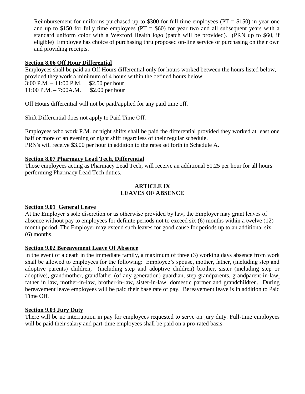Reimbursement for uniforms purchased up to \$300 for full time employees ( $PT = $150$ ) in year one and up to \$150 for fully time employees ( $PT = $60$ ) for year two and all subsequent years with a standard uniform color with a Wexford Health logo (patch will be provided). (PRN up to \$60, if eligible) Employee has choice of purchasing thru proposed on-line service or purchasing on their own and providing receipts.

# **Section 8.06 Off Hour Differential**

Employees shall be paid an Off Hours differential only for hours worked between the hours listed below, provided they work a minimum of 4 hours within the defined hours below.

3:00 P.M. – 11:00 P.M.  $$2.50$  per hour 11:00 P.M. – 7:00A.M. \$2.00 per hour

Off Hours differential will not be paid/applied for any paid time off.

Shift Differential does not apply to Paid Time Off.

Employees who work P.M. or night shifts shall be paid the differential provided they worked at least one half or more of an evening or night shift regardless of their regular schedule. PRN's will receive \$3.00 per hour in addition to the rates set forth in Schedule A.

# **Section 8.07 Pharmacy Lead Tech, Differential**

Those employees acting as Pharmacy Lead Tech, will receive an additional \$1.25 per hour for all hours performing Pharmacy Lead Tech duties.

#### **ARTICLE IX LEAVES OF ABSENCE**

# **Section 9.01 General Leave**

At the Employer's sole discretion or as otherwise provided by law, the Employer may grant leaves of absence without pay to employees for definite periods not to exceed six (6) months within a twelve (12) month period. The Employer may extend such leaves for good cause for periods up to an additional six (6) months.

# **Section 9.02 Bereavement Leave Of Absence**

In the event of a death in the immediate family, a maximum of three (3) working days absence from work shall be allowed to employees for the following: Employee's spouse, mother, father, (including step and adoptive parents) children, (including step and adoptive children) brother, sister (including step or adoptive), grandmother, grandfather (of any generation) guardian, step grandparents, grandparent-in-law, father in law, mother-in-law, brother-in-law, sister-in-law, domestic partner and grandchildren. During bereavement leave employees will be paid their base rate of pay. Bereavement leave is in addition to Paid Time Off.

# **Section 9.03 Jury Duty**

There will be no interruption in pay for employees requested to serve on jury duty. Full-time employees will be paid their salary and part-time employees shall be paid on a pro-rated basis.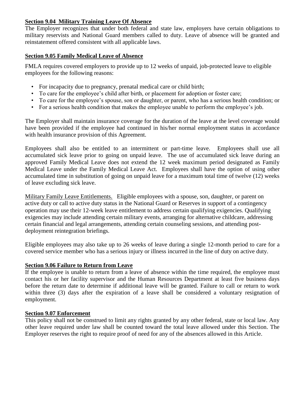# **Section 9.04 Military Training Leave Of Absence**

The Employer recognizes that under both federal and state law, employers have certain obligations to military reservists and National Guard members called to duty. Leave of absence will be granted and reinstatement offered consistent with all applicable laws.

# **Section 9.05 Family Medical Leave of Absence**

FMLA requires covered employers to provide up to 12 weeks of unpaid, job-protected leave to eligible employees for the following reasons:

- For incapacity due to pregnancy, prenatal medical care or child birth;
- To care for the employee's child after birth, or placement for adoption or foster care;
- To care for the employee's spouse, son or daughter, or parent, who has a serious health condition; or
- For a serious health condition that makes the employee unable to perform the employee's job.

The Employer shall maintain insurance coverage for the duration of the leave at the level coverage would have been provided if the employee had continued in his/her normal employment status in accordance with health insurance provision of this Agreement.

Employees shall also be entitled to an intermittent or part-time leave. Employees shall use all accumulated sick leave prior to going on unpaid leave. The use of accumulated sick leave during an approved Family Medical Leave does not extend the 12 week maximum period designated as Family Medical Leave under the Family Medical Leave Act. Employees shall have the option of using other accumulated time in substitution of going on unpaid leave for a maximum total time of twelve (12) weeks of leave excluding sick leave.

Military Family Leave Entitlements. Eligible employees with a spouse, son, daughter, or parent on active duty or call to active duty status in the National Guard or Reserves in support of a contingency operation may use their 12-week leave entitlement to address certain qualifying exigencies. Qualifying exigencies may include attending certain military events, arranging for alternative childcare, addressing certain financial and legal arrangements, attending certain counseling sessions, and attending postdeployment reintegration briefings.

Eligible employees may also take up to 26 weeks of leave during a single 12-month period to care for a covered service member who has a serious injury or illness incurred in the line of duty on active duty.

# **Section 9.06 Failure to Return from Leave**

If the employee is unable to return from a leave of absence within the time required, the employee must contact his or her facility supervisor and the Human Resources Department at least five business days before the return date to determine if additional leave will be granted. Failure to call or return to work within three (3) days after the expiration of a leave shall be considered a voluntary resignation of employment.

# **Section 9.07 Enforcement**

This policy shall not be construed to limit any rights granted by any other federal, state or local law. Any other leave required under law shall be counted toward the total leave allowed under this Section. The Employer reserves the right to require proof of need for any of the absences allowed in this Article.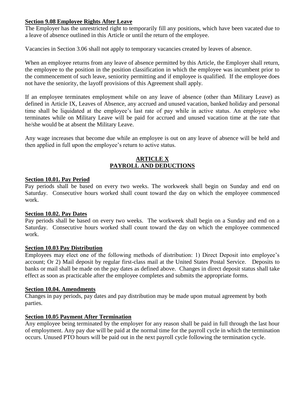# **Section 9.08 Employee Rights After Leave**

The Employer has the unrestricted right to temporarily fill any positions, which have been vacated due to a leave of absence outlined in this Article or until the return of the employee.

Vacancies in Section 3.06 shall not apply to temporary vacancies created by leaves of absence.

When an employee returns from any leave of absence permitted by this Article, the Employer shall return, the employee to the position in the position classification in which the employee was incumbent prior to the commencement of such leave, seniority permitting and if employee is qualified. If the employee does not have the seniority, the layoff provisions of this Agreement shall apply.

If an employee terminates employment while on any leave of absence (other than Military Leave) as defined in Article IX, Leaves of Absence, any accrued and unused vacation, banked holiday and personal time shall be liquidated at the employee's last rate of pay while in active status. An employee who terminates while on Military Leave will be paid for accrued and unused vacation time at the rate that he/she would be at absent the Military Leave.

Any wage increases that become due while an employee is out on any leave of absence will be held and then applied in full upon the employee's return to active status.

# **ARTICLE X PAYROLL AND DEDUCTIONS**

# **Section 10.01. Pay Period**

Pay periods shall be based on every two weeks. The workweek shall begin on Sunday and end on Saturday. Consecutive hours worked shall count toward the day on which the employee commenced work.

# **Section 10.02. Pay Dates**

Pay periods shall be based on every two weeks. The workweek shall begin on a Sunday and end on a Saturday. Consecutive hours worked shall count toward the day on which the employee commenced work.

# **Section 10.03 Pay Distribution**

Employees may elect one of the following methods of distribution: 1) Direct Deposit into employee's account; Or 2) Mail deposit by regular first-class mail at the United States Postal Service. Deposits to banks or mail shall be made on the pay dates as defined above. Changes in direct deposit status shall take effect as soon as practicable after the employee completes and submits the appropriate forms.

# **Section 10.04. Amendments**

Changes in pay periods, pay dates and pay distribution may be made upon mutual agreement by both parties.

# **Section 10.05 Payment After Termination**

Any employee being terminated by the employer for any reason shall be paid in full through the last hour of employment. Any pay due will be paid at the normal time for the payroll cycle in which the termination occurs. Unused PTO hours will be paid out in the next payroll cycle following the termination cycle.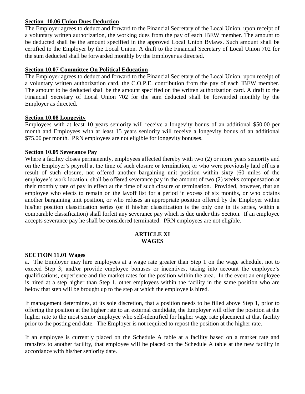#### **Section 10.06 Union Dues Deduction**

The Employer agrees to deduct and forward to the Financial Secretary of the Local Union, upon receipt of a voluntary written authorization, the working dues from the pay of each IBEW member. The amount to be deducted shall be the amount specified in the approved Local Union Bylaws. Such amount shall be certified to the Employer by the Local Union. A draft to the Financial Secretary of Local Union 702 for the sum deducted shall be forwarded monthly by the Employer as directed.

#### **Section 10.07 Committee On Political Education**

The Employer agrees to deduct and forward to the Financial Secretary of the Local Union, upon receipt of a voluntary written authorization card, the C.O.P.E. contribution from the pay of each IBEW member. The amount to be deducted shall be the amount specified on the written authorization card. A draft to the Financial Secretary of Local Union 702 for the sum deducted shall be forwarded monthly by the Employer as directed.

#### **Section 10.08 Longevity**

Employees with at least 10 years seniority will receive a longevity bonus of an additional \$50.00 per month and Employees with at least 15 years seniority will receive a longevity bonus of an additional \$75.00 per month. PRN employees are not eligible for longevity bonuses.

#### **Section 10.09 Severance Pay**

Where a facility closes permanently, employees affected thereby with two  $(2)$  or more years seniority and on the Employer's payroll at the time of such closure or termination, or who were previously laid off as a result of such closure, not offered another bargaining unit position within sixty (60 miles of the employee's work location, shall be offered severance pay in the amount of two (2) weeks compensation at their monthly rate of pay in effect at the time of such closure or termination. Provided, however, that an employee who elects to remain on the layoff list for a period in excess of six months, or who obtains another bargaining unit position, or who refuses an appropriate position offered by the Employer within his/her position classification series (or if his/her classification is the only one in its series, within a comparable classification) shall forfeit any severance pay which is due under this Section. If an employee accepts severance pay he shall be considered terminated. PRN employees are not eligible.

#### **ARTICLE XI WAGES**

#### **SECTION 11.01 Wages**

a. The Employer may hire employees at a wage rate greater than Step 1 on the wage schedule, not to exceed Step 3; and/or provide employee bonuses or incentives, taking into account the employee's qualifications, experience and the market rates for the position within the area. In the event an employee is hired at a step higher than Step 1, other employees within the facility in the same position who are below that step will be brought up to the step at which the employee is hired.

If management determines, at its sole discretion, that a position needs to be filled above Step 1, prior to offering the position at the higher rate to an external candidate, the Employer will offer the position at the higher rate to the most senior employee who self-identified for higher wage rate placement at that facility prior to the posting end date. The Employer is not required to repost the position at the higher rate.

If an employee is currently placed on the Schedule A table at a facility based on a market rate and transfers to another facility, that employee will be placed on the Schedule A table at the new facility in accordance with his/her seniority date.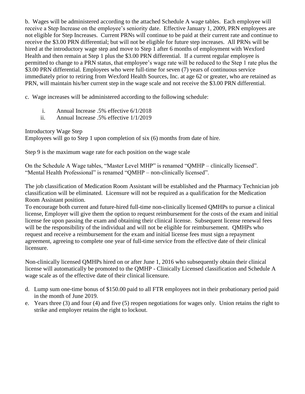b. Wages will be administered according to the attached Schedule A wage tables. Each employee will receive a Step Increase on the employee's seniority date. Effective January 1, 2009, PRN employees are not eligible for Step Increases. Current PRNs will continue to be paid at their current rate and continue to receive the \$3.00 PRN differential; but will not be eligible for future step increases. All PRNs will be hired at the introductory wage step and move to Step 1 after 6 months of employment with Wexford Health and then remain at Step 1 plus the \$3.00 PRN differential. If a current regular employee is permitted to change to a PRN status, that employee's wage rate will be reduced to the Step 1 rate plus the \$3.00 PRN differential. Employees who were full-time for seven (7) years of continuous service immediately prior to retiring from Wexford Health Sources, Inc. at age 62 or greater, who are retained as PRN, will maintain his/her current step in the wage scale and not receive the \$3.00 PRN differential.

c. Wage increases will be administered according to the following schedule:

- i. Annual Increase .5% effective 6/1/2018
- ii. Annual Increase .5% effective 1/1/2019

Introductory Wage Step Employees will go to Step 1 upon completion of six (6) months from date of hire.

Step 9 is the maximum wage rate for each position on the wage scale

On the Schedule A Wage tables, "Master Level MHP" is renamed "QMHP – clinically licensed". "Mental Health Professional" is renamed "QMHP – non-clinically licensed".

The job classification of Medication Room Assistant will be established and the Pharmacy Technician job classification will be eliminated. Licensure will not be required as a qualification for the Medication Room Assistant position.

To encourage both current and future-hired full-time non-clinically licensed QMHPs to pursue a clinical license, Employer will give them the option to request reimbursement for the costs of the exam and initial license fee upon passing the exam and obtaining their clinical license. Subsequent license renewal fees will be the responsibility of the individual and will not be eligible for reimbursement. QMHPs who request and receive a reimbursement for the exam and initial license fees must sign a repayment agreement, agreeing to complete one year of full-time service from the effective date of their clinical licensure.

Non-clinically licensed QMHPs hired on or after June 1, 2016 who subsequently obtain their clinical license will automatically be promoted to the QMHP - Clinically Licensed classification and Schedule A wage scale as of the effective date of their clinical licensure.

- d. Lump sum one-time bonus of \$150.00 paid to all FTR employees not in their probationary period paid in the month of June 2019.
- e. Years three (3) and four (4) and five (5) reopen negotiations for wages only. Union retains the right to strike and employer retains the right to lockout.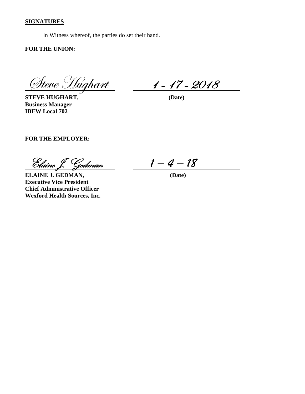#### **SIGNATURES**

In Witness whereof, the parties do set their hand.

**FOR THE UNION:**

<u> Steve Hughart</u> 1-17-2018

**STEVE HUGHART, (Date) Business Manager IBEW Local 702**

**FOR THE EMPLOYER:**

Elaine J. Gedman *1 – 4 – 18* 

**ELAINE J. GEDMAN, (Date) Executive Vice President Chief Administrative Officer Wexford Health Sources, Inc.**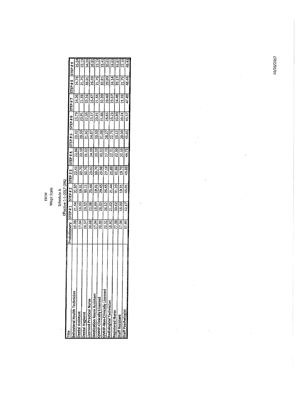**IBEW<br>Wage Scale** 

Schedule A<br>Effective 1-1-2017 (3%)

|                                    | Probationary | ISTEP#1 | STEP#2 | STEP#3 | <b>P#431S</b> | STEP#5 | 3TEP#6 |         |        |        |
|------------------------------------|--------------|---------|--------|--------|---------------|--------|--------|---------|--------|--------|
| ehavioral Health Technician        |              |         |        |        |               |        |        | STEP #7 | STEP#8 | STEP#9 |
|                                    | 19.38        | 21.54   | 21.97  | 22.41  | 22.86         | 23.32  | 23.79  | 24.26   | 24.74  | 25.24  |
| ental Assistant                    | 17.04        | 18.93   | 19.31  | 19.70  | 20.10         | 20.50  | 20.91  |         |        |        |
| ental Hygienst                     | 26.57        | 29.52   | 30.11  | 30.70  |               |        |        | 21.33   | 21.75  | 22.19  |
| icensed Practical Nurse            | 20.58        | 22.98   |        |        | 31.32         | 31.95  | 32.59  | 33.24   | 33.91  | 34.59  |
| <b>Medication Room Assistant</b>   |              |         | 23.44  | 23.92  | 24.39         | 24.87  | 25.37  | 25.87   | 26.39  | 26.91  |
|                                    | 17.04        | 18.93   | 19.31  | 19.70  | 20.10         | 20.50  | 20.91  | 21.33   | 21.75  | 22.19  |
| MHP-Clinically Licensed            | 26.03        | 28.92   | 29.45  | 29.98  | 30.52         | 31.08  | 31.66  | 32.20   | 32.81  |        |
| <b>IHP-Non-Clinically Licenser</b> | 23.51        | 26.12   | 26.65  | 27.18  | 27.73         | 28.27  | 28.85  |         |        | 33.41  |
| adiological Technician             |              |         |        |        |               |        |        | 29.40   | 29.99  | 30.61  |
|                                    | 18.92        | 21.02   | 21.44  | 21.88  | 22.31         | 22.75  | 23.21  | 23.57   | 24.14  | 24.63  |
| egistered Nurse                    | 27.56        | 30.62   | 31.23  | 31.86  | 32.50         | 33.15  | 33.80  | 34.48   | 35.17  | 35.87  |
| taff Assistant                     | 17.04        | 18.93   | 19.31  | 19.70  | 20.10         | 20.50  | 20.91  | 21.33   | 21.75  | 22.19  |
| taff Psychologist                  | 37.95        | 42.17   | 43.01  | 43.88  | 44.75         | 45.65  | 46.57  |         |        |        |
|                                    |              |         |        |        |               |        |        | 47.49   | 48.44  | 49.41  |

Í

10/26/2017